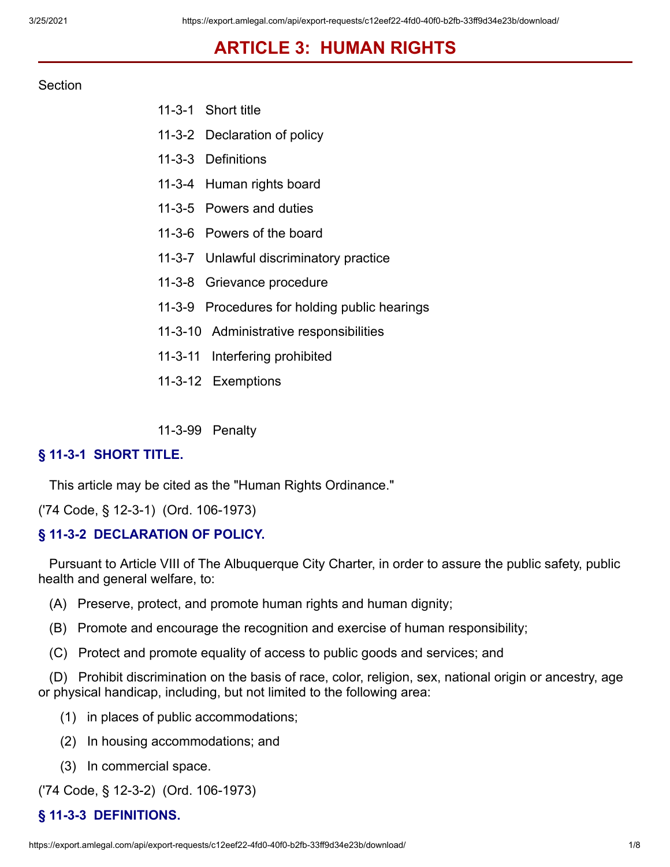# **ARTICLE 3: HUMAN RIGHTS**

#### Section

- 11-3-1 Short title
- 11-3-2 Declaration of policy
- 11-3-3 Definitions
- 11-3-4 Human rights board
- 11-3-5 Powers and duties
- 11-3-6 Powers of the board
- 11-3-7 Unlawful discriminatory practice
- 11-3-8 Grievance procedure
- 11-3-9 Procedures for holding public hearings
- 11-3-10 Administrative responsibilities
- 11-3-11 Interfering prohibited
- 11-3-12 Exemptions

11-3-99 Penalty

#### **§ 11-3-1 SHORT TITLE.**

This article may be cited as the "Human Rights Ordinance."

('74 Code, § 12-3-1) (Ord. 106-1973)

#### **§ 11-3-2 DECLARATION OF POLICY.**

 Pursuant to Article VIII of The Albuquerque City Charter, in order to assure the public safety, public health and general welfare, to:

- (A) Preserve, protect, and promote human rights and human dignity;
- (B) Promote and encourage the recognition and exercise of human responsibility;
- (C) Protect and promote equality of access to public goods and services; and

 (D) Prohibit discrimination on the basis of race, color, religion, sex, national origin or ancestry, age or physical handicap, including, but not limited to the following area:

- (1) in places of public accommodations;
- (2) In housing accommodations; and
- (3) In commercial space.

('74 Code, § 12-3-2) (Ord. 106-1973)

#### **§ 11-3-3 DEFINITIONS.**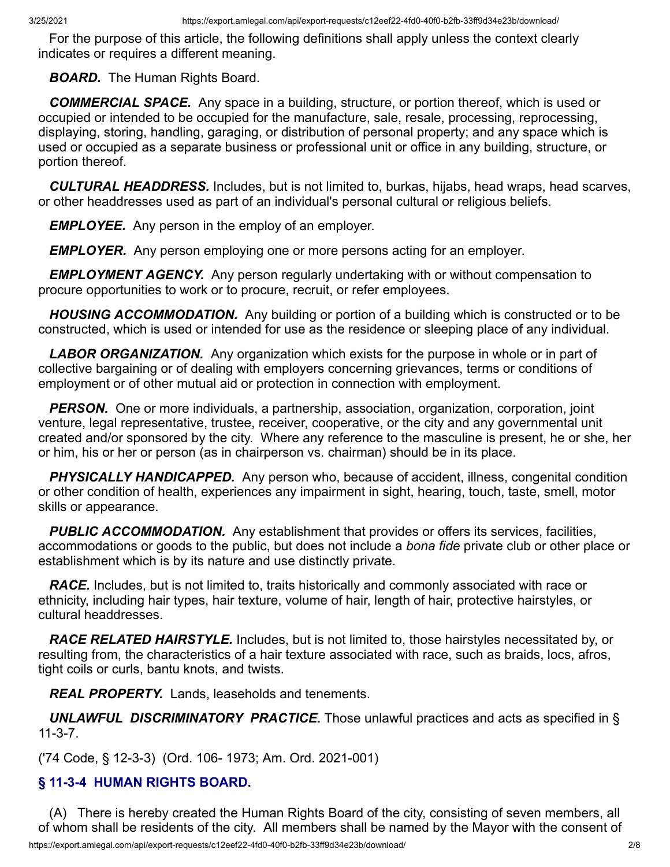For the purpose of this article, the following definitions shall apply unless the context clearly indicates or requires a different meaning.

*BOARD.* The Human Rights Board.

 *COMMERCIAL SPACE.* Any space in a building, structure, or portion thereof, which is used or occupied or intended to be occupied for the manufacture, sale, resale, processing, reprocessing, displaying, storing, handling, garaging, or distribution of personal property; and any space which is used or occupied as a separate business or professional unit or office in any building, structure, or portion thereof.

 *CULTURAL HEADDRESS.* Includes, but is not limited to, burkas, hijabs, head wraps, head scarves, or other headdresses used as part of an individual's personal cultural or religious beliefs.

*EMPLOYEE.* Any person in the employ of an employer.

*EMPLOYER.* Any person employing one or more persons acting for an employer.

 *EMPLOYMENT AGENCY.* Any person regularly undertaking with or without compensation to procure opportunities to work or to procure, recruit, or refer employees.

 *HOUSING ACCOMMODATION.* Any building or portion of a building which is constructed or to be constructed, which is used or intended for use as the residence or sleeping place of any individual.

 *LABOR ORGANIZATION.* Any organization which exists for the purpose in whole or in part of collective bargaining or of dealing with employers concerning grievances, terms or conditions of employment or of other mutual aid or protection in connection with employment.

**PERSON.** One or more individuals, a partnership, association, organization, corporation, joint venture, legal representative, trustee, receiver, cooperative, or the city and any governmental unit created and/or sponsored by the city. Where any reference to the masculine is present, he or she, her or him, his or her or person (as in chairperson vs. chairman) should be in its place.

 *PHYSICALLY HANDICAPPED.* Any person who, because of accident, illness, congenital condition or other condition of health, experiences any impairment in sight, hearing, touch, taste, smell, motor skills or appearance.

 *PUBLIC ACCOMMODATION.* Any establishment that provides or offers its services, facilities, accommodations or goods to the public, but does not include a *bona fide* private club or other place or establishment which is by its nature and use distinctly private.

 *RACE.* Includes, but is not limited to, traits historically and commonly associated with race or ethnicity, including hair types, hair texture, volume of hair, length of hair, protective hairstyles, or cultural headdresses.

 *RACE RELATED HAIRSTYLE.* Includes, but is not limited to, those hairstyles necessitated by, or resulting from, the characteristics of a hair texture associated with race, such as braids, locs, afros, tight coils or curls, bantu knots, and twists.

*REAL PROPERTY.* Lands, leaseholds and tenements.

 *UNLAWFUL DISCRIMINATORY PRACTICE.* Those unlawful practices and acts as specified in § 11-3-7.

('74 Code, § 12-3-3) (Ord. 106- 1973; Am. Ord. 2021-001)

## **§ 11-3-4 HUMAN RIGHTS BOARD.**

 (A) There is hereby created the Human Rights Board of the city, consisting of seven members, all of whom shall be residents of the city. All members shall be named by the Mayor with the consent of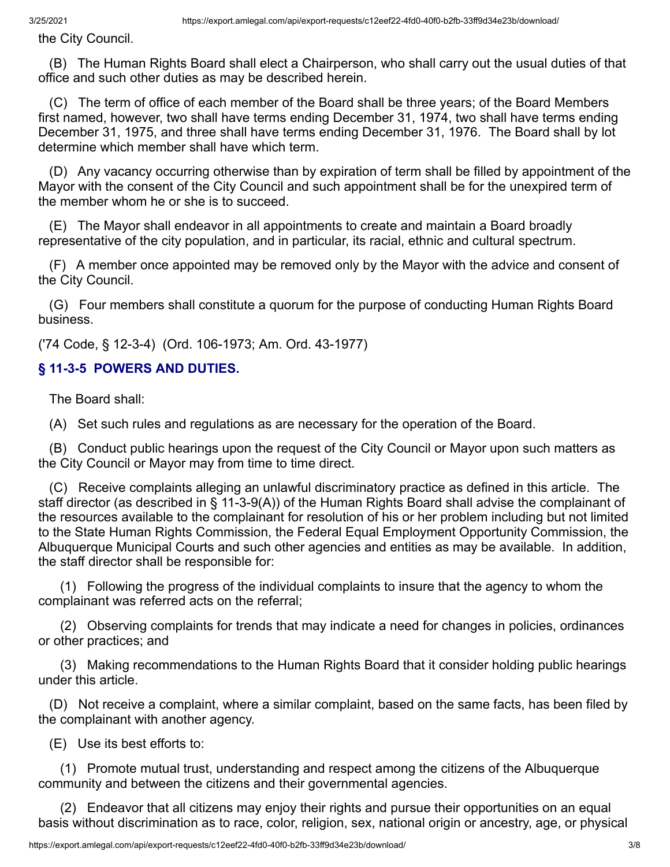the City Council.

 (B) The Human Rights Board shall elect a Chairperson, who shall carry out the usual duties of that office and such other duties as may be described herein.

 (C) The term of office of each member of the Board shall be three years; of the Board Members first named, however, two shall have terms ending December 31, 1974, two shall have terms ending December 31, 1975, and three shall have terms ending December 31, 1976. The Board shall by lot determine which member shall have which term.

 (D) Any vacancy occurring otherwise than by expiration of term shall be filled by appointment of the Mayor with the consent of the City Council and such appointment shall be for the unexpired term of the member whom he or she is to succeed.

 (E) The Mayor shall endeavor in all appointments to create and maintain a Board broadly representative of the city population, and in particular, its racial, ethnic and cultural spectrum.

 (F) A member once appointed may be removed only by the Mayor with the advice and consent of the City Council.

 (G) Four members shall constitute a quorum for the purpose of conducting Human Rights Board business.

('74 Code, § 12-3-4) (Ord. 106-1973; Am. Ord. 43-1977)

#### **§ 11-3-5 POWERS AND DUTIES.**

The Board shall:

(A) Set such rules and regulations as are necessary for the operation of the Board.

 (B) Conduct public hearings upon the request of the City Council or Mayor upon such matters as the City Council or Mayor may from time to time direct.

 (C) Receive complaints alleging an unlawful discriminatory practice as defined in this article. The staff director (as described in § 11-3-9(A)) of the Human Rights Board shall advise the complainant of the resources available to the complainant for resolution of his or her problem including but not limited to the State Human Rights Commission, the Federal Equal Employment Opportunity Commission, the Albuquerque Municipal Courts and such other agencies and entities as may be available. In addition, the staff director shall be responsible for:

 (1) Following the progress of the individual complaints to insure that the agency to whom the complainant was referred acts on the referral;

 (2) Observing complaints for trends that may indicate a need for changes in policies, ordinances or other practices; and

 (3) Making recommendations to the Human Rights Board that it consider holding public hearings under this article.

 (D) Not receive a complaint, where a similar complaint, based on the same facts, has been filed by the complainant with another agency.

(E) Use its best efforts to:

 (1) Promote mutual trust, understanding and respect among the citizens of the Albuquerque community and between the citizens and their governmental agencies.

 (2) Endeavor that all citizens may enjoy their rights and pursue their opportunities on an equal basis without discrimination as to race, color, religion, sex, national origin or ancestry, age, or physical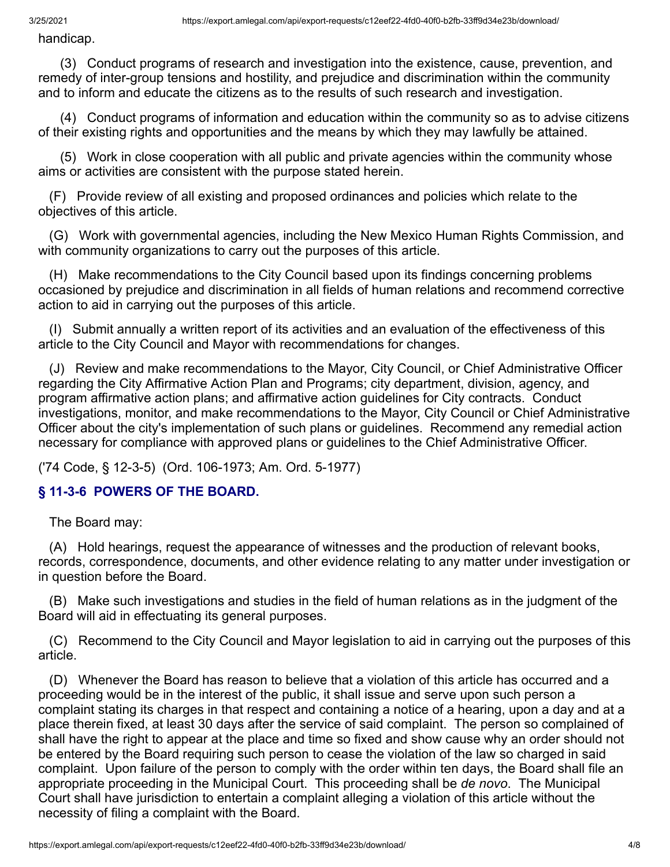handicap.

 (3) Conduct programs of research and investigation into the existence, cause, prevention, and remedy of inter-group tensions and hostility, and prejudice and discrimination within the community and to inform and educate the citizens as to the results of such research and investigation.

 (4) Conduct programs of information and education within the community so as to advise citizens of their existing rights and opportunities and the means by which they may lawfully be attained.

 (5) Work in close cooperation with all public and private agencies within the community whose aims or activities are consistent with the purpose stated herein.

 (F) Provide review of all existing and proposed ordinances and policies which relate to the objectives of this article.

 (G) Work with governmental agencies, including the New Mexico Human Rights Commission, and with community organizations to carry out the purposes of this article.

 (H) Make recommendations to the City Council based upon its findings concerning problems occasioned by prejudice and discrimination in all fields of human relations and recommend corrective action to aid in carrying out the purposes of this article.

 (I) Submit annually a written report of its activities and an evaluation of the effectiveness of this article to the City Council and Mayor with recommendations for changes.

 (J) Review and make recommendations to the Mayor, City Council, or Chief Administrative Officer regarding the City Affirmative Action Plan and Programs; city department, division, agency, and program affirmative action plans; and affirmative action guidelines for City contracts. Conduct investigations, monitor, and make recommendations to the Mayor, City Council or Chief Administrative Officer about the city's implementation of such plans or guidelines. Recommend any remedial action necessary for compliance with approved plans or guidelines to the Chief Administrative Officer.

('74 Code, § 12-3-5) (Ord. 106-1973; Am. Ord. 5-1977)

## **§ 11-3-6 POWERS OF THE BOARD.**

The Board may:

 (A) Hold hearings, request the appearance of witnesses and the production of relevant books, records, correspondence, documents, and other evidence relating to any matter under investigation or in question before the Board.

 (B) Make such investigations and studies in the field of human relations as in the judgment of the Board will aid in effectuating its general purposes.

 (C) Recommend to the City Council and Mayor legislation to aid in carrying out the purposes of this article.

 (D) Whenever the Board has reason to believe that a violation of this article has occurred and a proceeding would be in the interest of the public, it shall issue and serve upon such person a complaint stating its charges in that respect and containing a notice of a hearing, upon a day and at a place therein fixed, at least 30 days after the service of said complaint. The person so complained of shall have the right to appear at the place and time so fixed and show cause why an order should not be entered by the Board requiring such person to cease the violation of the law so charged in said complaint. Upon failure of the person to comply with the order within ten days, the Board shall file an appropriate proceeding in the Municipal Court. This proceeding shall be *de novo*. The Municipal Court shall have jurisdiction to entertain a complaint alleging a violation of this article without the necessity of filing a complaint with the Board.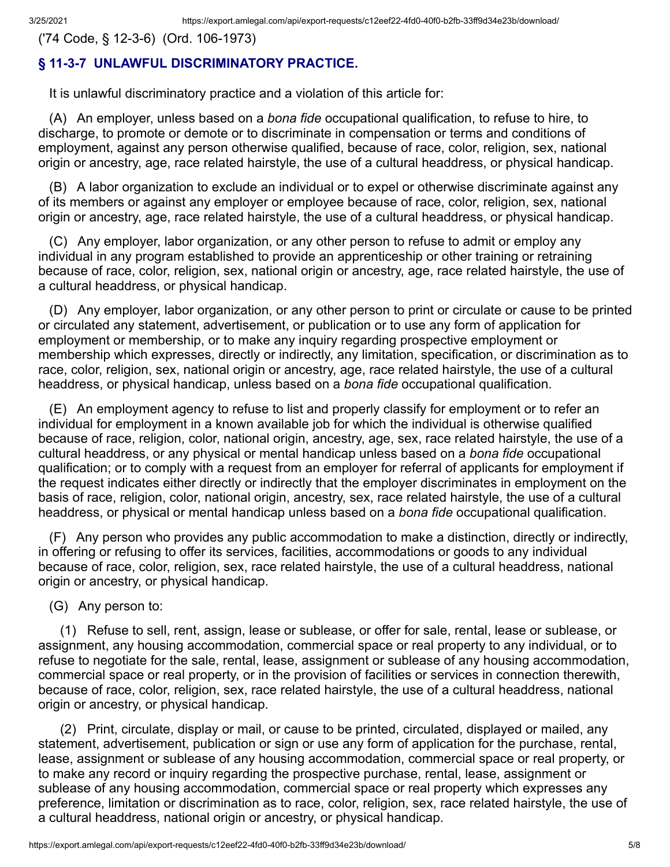('74 Code, § 12-3-6) (Ord. 106-1973)

## **§ 11-3-7 UNLAWFUL DISCRIMINATORY PRACTICE.**

It is unlawful discriminatory practice and a violation of this article for:

 (A) An employer, unless based on a *bona fide* occupational qualification, to refuse to hire, to discharge, to promote or demote or to discriminate in compensation or terms and conditions of employment, against any person otherwise qualified, because of race, color, religion, sex, national origin or ancestry, age, race related hairstyle, the use of a cultural headdress, or physical handicap.

 (B) A labor organization to exclude an individual or to expel or otherwise discriminate against any of its members or against any employer or employee because of race, color, religion, sex, national origin or ancestry, age, race related hairstyle, the use of a cultural headdress, or physical handicap.

 (C) Any employer, labor organization, or any other person to refuse to admit or employ any individual in any program established to provide an apprenticeship or other training or retraining because of race, color, religion, sex, national origin or ancestry, age, race related hairstyle, the use of a cultural headdress, or physical handicap.

 (D) Any employer, labor organization, or any other person to print or circulate or cause to be printed or circulated any statement, advertisement, or publication or to use any form of application for employment or membership, or to make any inquiry regarding prospective employment or membership which expresses, directly or indirectly, any limitation, specification, or discrimination as to race, color, religion, sex, national origin or ancestry, age, race related hairstyle, the use of a cultural headdress, or physical handicap, unless based on a *bona fide* occupational qualification.

 (E) An employment agency to refuse to list and properly classify for employment or to refer an individual for employment in a known available job for which the individual is otherwise qualified because of race, religion, color, national origin, ancestry, age, sex, race related hairstyle, the use of a cultural headdress, or any physical or mental handicap unless based on a *bona fide* occupational qualification; or to comply with a request from an employer for referral of applicants for employment if the request indicates either directly or indirectly that the employer discriminates in employment on the basis of race, religion, color, national origin, ancestry, sex, race related hairstyle, the use of a cultural headdress, or physical or mental handicap unless based on a *bona fide* occupational qualification.

 (F) Any person who provides any public accommodation to make a distinction, directly or indirectly, in offering or refusing to offer its services, facilities, accommodations or goods to any individual because of race, color, religion, sex, race related hairstyle, the use of a cultural headdress, national origin or ancestry, or physical handicap.

(G) Any person to:

 (1) Refuse to sell, rent, assign, lease or sublease, or offer for sale, rental, lease or sublease, or assignment, any housing accommodation, commercial space or real property to any individual, or to refuse to negotiate for the sale, rental, lease, assignment or sublease of any housing accommodation, commercial space or real property, or in the provision of facilities or services in connection therewith, because of race, color, religion, sex, race related hairstyle, the use of a cultural headdress, national origin or ancestry, or physical handicap.

 (2) Print, circulate, display or mail, or cause to be printed, circulated, displayed or mailed, any statement, advertisement, publication or sign or use any form of application for the purchase, rental, lease, assignment or sublease of any housing accommodation, commercial space or real property, or to make any record or inquiry regarding the prospective purchase, rental, lease, assignment or sublease of any housing accommodation, commercial space or real property which expresses any preference, limitation or discrimination as to race, color, religion, sex, race related hairstyle, the use of a cultural headdress, national origin or ancestry, or physical handicap.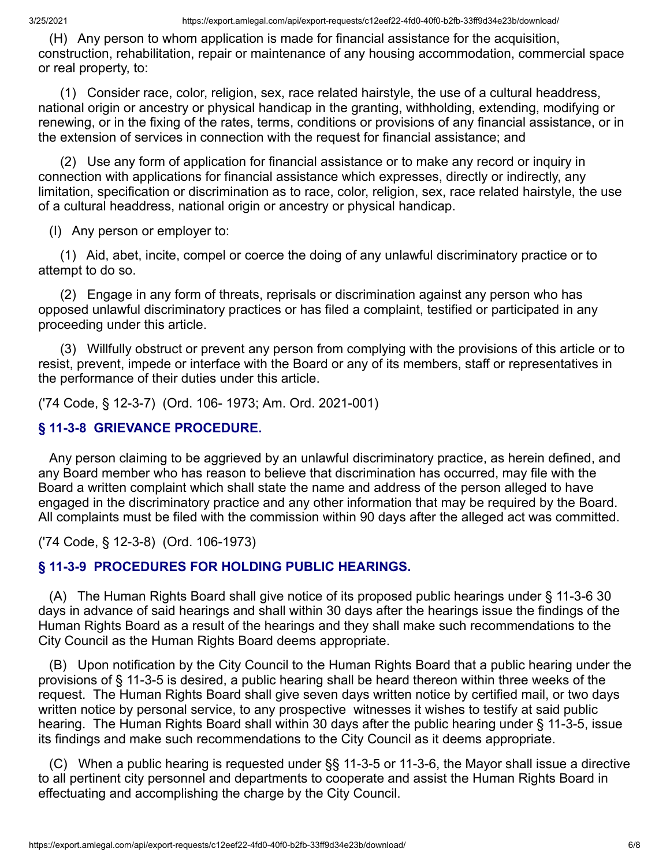(H) Any person to whom application is made for financial assistance for the acquisition, construction, rehabilitation, repair or maintenance of any housing accommodation, commercial space or real property, to:

 (1) Consider race, color, religion, sex, race related hairstyle, the use of a cultural headdress, national origin or ancestry or physical handicap in the granting, withholding, extending, modifying or renewing, or in the fixing of the rates, terms, conditions or provisions of any financial assistance, or in the extension of services in connection with the request for financial assistance; and

 (2) Use any form of application for financial assistance or to make any record or inquiry in connection with applications for financial assistance which expresses, directly or indirectly, any limitation, specification or discrimination as to race, color, religion, sex, race related hairstyle, the use of a cultural headdress, national origin or ancestry or physical handicap.

(I) Any person or employer to:

 (1) Aid, abet, incite, compel or coerce the doing of any unlawful discriminatory practice or to attempt to do so.

 (2) Engage in any form of threats, reprisals or discrimination against any person who has opposed unlawful discriminatory practices or has filed a complaint, testified or participated in any proceeding under this article.

 (3) Willfully obstruct or prevent any person from complying with the provisions of this article or to resist, prevent, impede or interface with the Board or any of its members, staff or representatives in the performance of their duties under this article.

('74 Code, § 12-3-7) (Ord. 106- 1973; Am. Ord. 2021-001)

## **§ 11-3-8 GRIEVANCE PROCEDURE.**

 Any person claiming to be aggrieved by an unlawful discriminatory practice, as herein defined, and any Board member who has reason to believe that discrimination has occurred, may file with the Board a written complaint which shall state the name and address of the person alleged to have engaged in the discriminatory practice and any other information that may be required by the Board. All complaints must be filed with the commission within 90 days after the alleged act was committed.

('74 Code, § 12-3-8) (Ord. 106-1973)

## **§ 11-3-9 PROCEDURES FOR HOLDING PUBLIC HEARINGS.**

 (A) The Human Rights Board shall give notice of its proposed public hearings under § 11-3-6 30 days in advance of said hearings and shall within 30 days after the hearings issue the findings of the Human Rights Board as a result of the hearings and they shall make such recommendations to the City Council as the Human Rights Board deems appropriate.

 (B) Upon notification by the City Council to the Human Rights Board that a public hearing under the provisions of § 11-3-5 is desired, a public hearing shall be heard thereon within three weeks of the request. The Human Rights Board shall give seven days written notice by certified mail, or two days written notice by personal service, to any prospective witnesses it wishes to testify at said public hearing. The Human Rights Board shall within 30 days after the public hearing under § 11-3-5, issue its findings and make such recommendations to the City Council as it deems appropriate.

 (C) When a public hearing is requested under §§ 11-3-5 or 11-3-6, the Mayor shall issue a directive to all pertinent city personnel and departments to cooperate and assist the Human Rights Board in effectuating and accomplishing the charge by the City Council.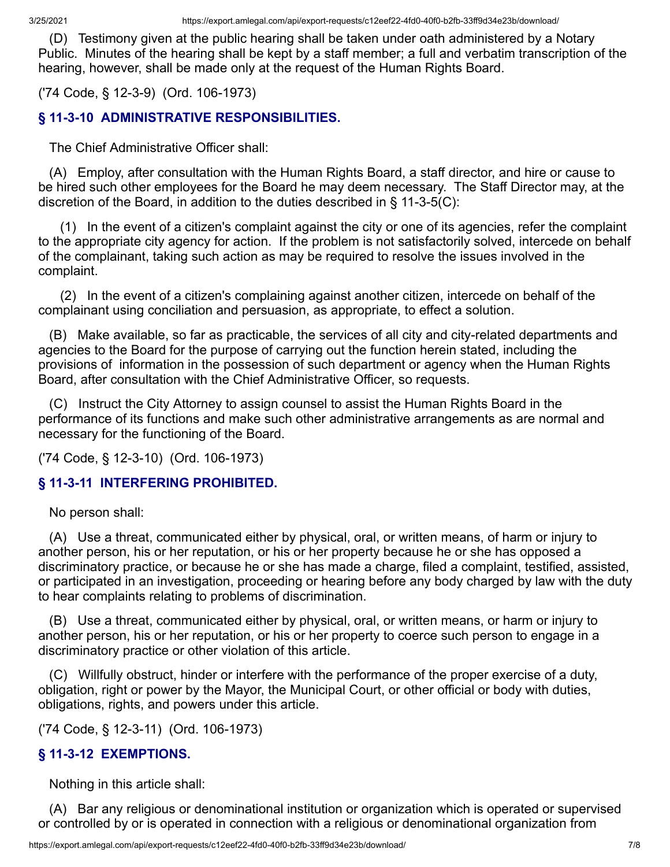(D) Testimony given at the public hearing shall be taken under oath administered by a Notary Public. Minutes of the hearing shall be kept by a staff member; a full and verbatim transcription of the hearing, however, shall be made only at the request of the Human Rights Board.

('74 Code, § 12-3-9) (Ord. 106-1973)

# **§ 11-3-10 ADMINISTRATIVE RESPONSIBILITIES.**

The Chief Administrative Officer shall:

 (A) Employ, after consultation with the Human Rights Board, a staff director, and hire or cause to be hired such other employees for the Board he may deem necessary. The Staff Director may, at the discretion of the Board, in addition to the duties described in § 11-3-5(C):

 (1) In the event of a citizen's complaint against the city or one of its agencies, refer the complaint to the appropriate city agency for action. If the problem is not satisfactorily solved, intercede on behalf of the complainant, taking such action as may be required to resolve the issues involved in the complaint.

 (2) In the event of a citizen's complaining against another citizen, intercede on behalf of the complainant using conciliation and persuasion, as appropriate, to effect a solution.

 (B) Make available, so far as practicable, the services of all city and city-related departments and agencies to the Board for the purpose of carrying out the function herein stated, including the provisions of information in the possession of such department or agency when the Human Rights Board, after consultation with the Chief Administrative Officer, so requests.

 (C) Instruct the City Attorney to assign counsel to assist the Human Rights Board in the performance of its functions and make such other administrative arrangements as are normal and necessary for the functioning of the Board.

('74 Code, § 12-3-10) (Ord. 106-1973)

# **§ 11-3-11 INTERFERING PROHIBITED.**

No person shall:

 (A) Use a threat, communicated either by physical, oral, or written means, of harm or injury to another person, his or her reputation, or his or her property because he or she has opposed a discriminatory practice, or because he or she has made a charge, filed a complaint, testified, assisted, or participated in an investigation, proceeding or hearing before any body charged by law with the duty to hear complaints relating to problems of discrimination.

 (B) Use a threat, communicated either by physical, oral, or written means, or harm or injury to another person, his or her reputation, or his or her property to coerce such person to engage in a discriminatory practice or other violation of this article.

 (C) Willfully obstruct, hinder or interfere with the performance of the proper exercise of a duty, obligation, right or power by the Mayor, the Municipal Court, or other official or body with duties, obligations, rights, and powers under this article.

('74 Code, § 12-3-11) (Ord. 106-1973)

# **§ 11-3-12 EXEMPTIONS.**

Nothing in this article shall:

 (A) Bar any religious or denominational institution or organization which is operated or supervised or controlled by or is operated in connection with a religious or denominational organization from